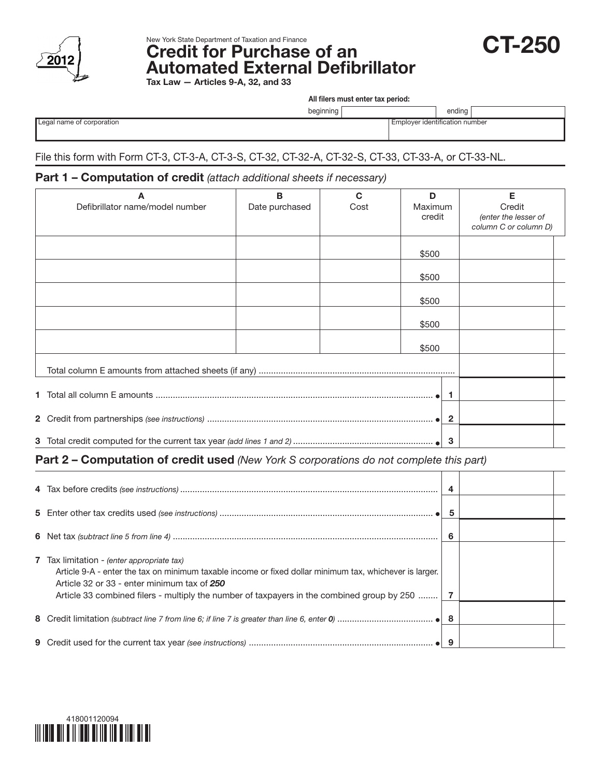



New York State Department of Taxation and Finance<br>Credit for Purchase of an **CT-250** Automated External Defibrillator Tax Law  $-$  A

|  | urucies 9-A, JZ, and JJ |  |
|--|-------------------------|--|
|  |                         |  |

All filers must enter tax period:

|  | Legal name of corporation |  |
|--|---------------------------|--|
|  |                           |  |

beginning | ending

**Employer identification number** 

## File this form with Form CT-3, CT-3-A, CT-3-S, CT-32, CT-32-A, CT-32-S, CT-33, CT-33-A, or CT-33-NL.

## Part 1 – Computation of credit *(attach additional sheets if necessary)*

|    | A                               | B              | C    | D                       | Е                     |
|----|---------------------------------|----------------|------|-------------------------|-----------------------|
|    | Defibrillator name/model number | Date purchased | Cost | <b>Maximum</b>          | Credit                |
|    |                                 |                |      | credit                  | (enter the lesser of  |
|    |                                 |                |      |                         | column C or column D) |
|    |                                 |                |      |                         |                       |
|    |                                 |                |      | \$500                   |                       |
|    |                                 |                |      |                         |                       |
|    |                                 |                |      | \$500                   |                       |
|    |                                 |                |      | \$500                   |                       |
|    |                                 |                |      |                         |                       |
|    |                                 |                |      | \$500                   |                       |
|    |                                 |                |      |                         |                       |
|    |                                 |                |      | \$500                   |                       |
|    |                                 |                |      |                         |                       |
|    |                                 |                |      |                         |                       |
|    |                                 |                |      | -1                      |                       |
|    |                                 |                |      |                         |                       |
|    |                                 |                |      | $\overline{\mathbf{2}}$ |                       |
| -3 |                                 |                |      |                         |                       |

## Part 2 – Computation of credit used *(New York S corporations do not complete this part)*

|                                                                                                                                                                                                                                                                                                    | 5 |  |
|----------------------------------------------------------------------------------------------------------------------------------------------------------------------------------------------------------------------------------------------------------------------------------------------------|---|--|
|                                                                                                                                                                                                                                                                                                    | 6 |  |
| 7 Tax limitation - (enter appropriate tax)<br>Article 9-A - enter the tax on minimum taxable income or fixed dollar minimum tax, whichever is larger.<br>Article 32 or 33 - enter minimum tax of 250<br>Article 33 combined filers - multiply the number of taxpayers in the combined group by 250 |   |  |
|                                                                                                                                                                                                                                                                                                    |   |  |
|                                                                                                                                                                                                                                                                                                    |   |  |